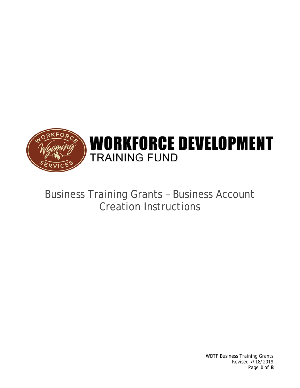

# Business Training Grants – Business Account Creation Instructions

WDTF Business Training Grants Revised 7/18/2019 Page **1** of **8**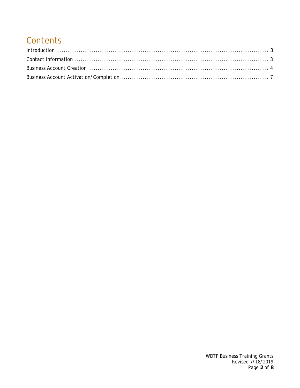## Contents

| $Introduction \dots 3$ |  |
|------------------------|--|
|                        |  |
|                        |  |
|                        |  |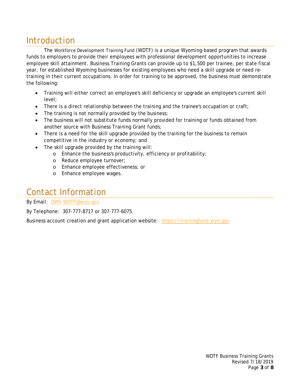## **Introduction**

The Workforce Development Training Fund (WDTF) is a unique Wyoming-based program that awards funds to employers to provide their employees with professional development opportunities to increase employee skill attainment. Business Training Grants can provide up to \$1,500 per trainee, per state fiscal year, for established Wyoming businesses for existing employees who need a skill upgrade or need retraining in their current occupations. In order for training to be approved, the business must demonstrate the following:

- Training will either correct an employee's skill deficiency or upgrade an employee's current skill level;
- There is a direct relationship between the training and the trainee's occupation or craft;
- The training is not normally provided by the business;
- The business will not substitute funds normally provided for training or funds obtained from another source with Business Training Grant funds;
- There is a need for the skill upgrade provided by the training for the business to remain competitive in the industry or economy; and
- The skill upgrade provided by the training will:
	- o Enhance the business's productivity, efficiency or profitability;
	- o Reduce employee turnover;
	- o Enhance employee effectiveness; or
	- o Enhance employee wages.

#### Contact Information

By Email: DWS-WDTF@wyo.gov

By Telephone: 307-777-8717 or 307-777-6075

Business account creation and grant application website: https://trainingfund.wyo.gov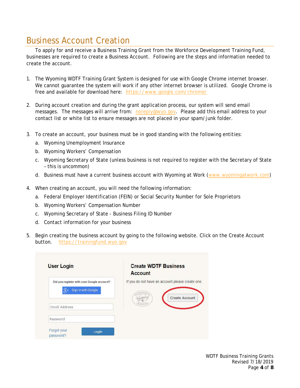## Business Account Creation

To apply for and receive a Business Training Grant from the Workforce Development Training Fund, businesses are required to create a Business Account. Following are the steps and information needed to create the account.

- 1. The Wyoming WDTF Training Grant System is designed for use with Google Chrome internet browser. We cannot guarantee the system will work if any other internet browser is utilized. Google Chrome is free and available for download here: https://www.google.com/chrome/
- 2. During account creation and during the grant application process, our system will send email messages. The messages will arrive from: noreply@wyo.gov. Please add this email address to your contact list or white list to ensure messages are not placed in your spam/junk folder.
- 3. To create an account, your business must be in good standing with the following entities:
	- a. Wyoming Unemployment Insurance
	- b. Wyoming Workers' Compensation
	- c. Wyoming Secretary of State (unless business is not required to register with the Secretary of State – this is uncommon)
	- d. Business must have a current business account with Wyoming at Work (www.wyomingatwork.com)
- 4. When creating an account, you will need the following information:
	- a. Federal Employer Identification (FEIN) or Social Security Number for Sole Proprietors
	- b. Wyoming Workers' Compensation Number
	- c. Wyoming Secretary of State Business Filing ID Number
	- d. Contact information for your business
- 5. Begin creating the business account by going to the following website. Click on the Create Account button. https://trainingfund.wyo.gov

| <b>User Login</b>                                                 | <b>Create WDTF Business</b><br>Account           |
|-------------------------------------------------------------------|--------------------------------------------------|
| Did you register with your Google account?<br>Sign in with Google | If you do not have an account please create one. |
| Email Address                                                     | Create Account                                   |
| Password                                                          |                                                  |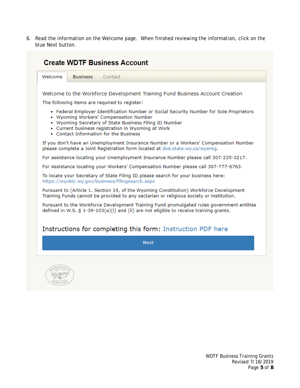6. Read the information on the Welcome page. When finished reviewing the information, click on the blue Next button.

| Welcome | <b>Business</b><br>Contact                                                                                                                                                                                                                                                                  |
|---------|---------------------------------------------------------------------------------------------------------------------------------------------------------------------------------------------------------------------------------------------------------------------------------------------|
|         | Welcome to the Workforce Development Training Fund Business Account Creation                                                                                                                                                                                                                |
|         | The following items are required to register:                                                                                                                                                                                                                                               |
|         | • Federal Employer Identification Number or Social Security Number for Sole Proprietors<br>• Wyoming Workers' Compensation Number<br>. Wyoming Secretary of State Business Filing ID Number<br>• Current business registration in Wyoming at Work<br>• Contact Information for the Business |
|         | If you don't have an Unemployment Insurance Number or a Workers' Compensation Number<br>please complete a Joint Registration form located at doe.state.wy.us/wyereg.                                                                                                                        |
|         | For assistance locating your Unemployment Insurance Number please call 307-235-3217.                                                                                                                                                                                                        |
|         | For Assistance locating your Workers' Compensation Number please call 307-777-6763.                                                                                                                                                                                                         |
|         | To locate your Secretary of State Filing ID please search for your business here:<br>https://wyobiz.wy.gov/business/filingsearch.aspx                                                                                                                                                       |
|         | Pursuant to (Article 1. Section 19, of the Wyoming Constitution) Workforce Development<br>Training Funds cannot be provided to any sectarian or religious society or institution.                                                                                                           |
|         | Pursuant to the Workforce Development Training Fund promulgated rules government entities<br>defined in W.S. § 1-39-103(a)(i) and (ii) are not eligible to receive training grants.                                                                                                         |
|         | Instructions for completing this form: Instruction PDF here                                                                                                                                                                                                                                 |
|         | <b>Next</b>                                                                                                                                                                                                                                                                                 |
|         |                                                                                                                                                                                                                                                                                             |
| ORKFO   |                                                                                                                                                                                                                                                                                             |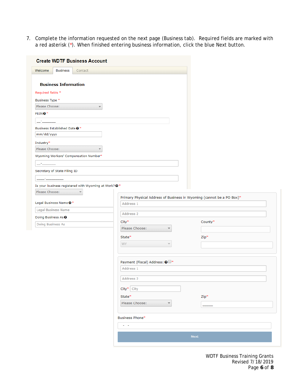7. Complete the information requested on the next page (Business tab). Required fields are marked with a red asterisk (\*). When finished entering business information, click the blue Next button.

| <b>Create WDTF Business Account</b>                  |                                                                       |             |
|------------------------------------------------------|-----------------------------------------------------------------------|-------------|
| Welcome<br><b>Business</b><br>Contact                |                                                                       |             |
|                                                      |                                                                       |             |
| <b>Business Information</b>                          |                                                                       |             |
| Required fields *                                    |                                                                       |             |
| Business Type *                                      |                                                                       |             |
| Please Choose:                                       |                                                                       |             |
| FEIN <sup>O*</sup>                                   |                                                                       |             |
|                                                      |                                                                       |             |
| Business Established Date <sup>®</sup> *             |                                                                       |             |
| mm/dd/yyyy                                           |                                                                       |             |
| Industry*                                            |                                                                       |             |
| Please Choose:                                       |                                                                       |             |
| Wyoming Workers' Compensation Number*                |                                                                       |             |
|                                                      |                                                                       |             |
| Secretary of State Filing ID                         |                                                                       |             |
| 54                                                   |                                                                       |             |
| Is your business registered with Wyoming at Work? @* |                                                                       |             |
| Please Choose:                                       |                                                                       |             |
|                                                      | Primary Physical Address of Business in Wyoming (cannot be a PO Box)* |             |
| Legal Business Name @*                               | Address 1                                                             |             |
| <b>Legal Business Name</b>                           | Address 2                                                             |             |
| Doing Business As @                                  |                                                                       |             |
| Doing Business As                                    | City*                                                                 | County*     |
|                                                      | Please Choose:                                                        |             |
|                                                      | State*                                                                | Zip*        |
|                                                      | WY                                                                    |             |
|                                                      |                                                                       |             |
|                                                      | Payment (Fiscal) Address: 0 <sup>-</sup>                              |             |
|                                                      | Address 1                                                             |             |
|                                                      |                                                                       |             |
|                                                      | Address 2                                                             |             |
|                                                      | $City^*$ City                                                         |             |
|                                                      | State*                                                                | Zip*        |
|                                                      | Please Choose:<br>▼                                                   |             |
|                                                      |                                                                       |             |
|                                                      | Business Phone*                                                       |             |
|                                                      | $\omega_{\rm{max}}$                                                   |             |
|                                                      |                                                                       |             |
|                                                      |                                                                       | <b>Next</b> |
|                                                      |                                                                       |             |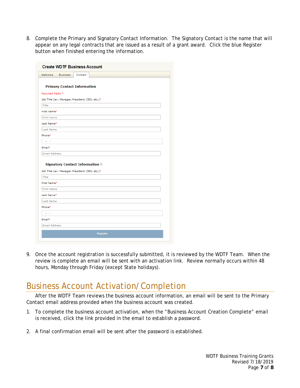8. Complete the Primary and Signatory Contact Information. The Signatory Contact is the name that will appear on any legal contracts that are issued as a result of a grant award. Click the blue Register button when finished entering the information.

| Welcome<br><b>Business</b><br>Contact<br><b>Primary Contact Information</b><br>Required fields *<br>Job Title (ex: Manager, President, CEO, etc.)*<br>Title<br>First Name*<br><b>First Name</b> |
|-------------------------------------------------------------------------------------------------------------------------------------------------------------------------------------------------|
|                                                                                                                                                                                                 |
|                                                                                                                                                                                                 |
|                                                                                                                                                                                                 |
|                                                                                                                                                                                                 |
|                                                                                                                                                                                                 |
|                                                                                                                                                                                                 |
|                                                                                                                                                                                                 |
| Last Name*                                                                                                                                                                                      |
| Last Name                                                                                                                                                                                       |
| Phone*                                                                                                                                                                                          |
| - -                                                                                                                                                                                             |
| Email*                                                                                                                                                                                          |
| <b>Email Address</b>                                                                                                                                                                            |
| Signatory Contact Information ■<br>Job Title (ex: Manager, President, CEO, etc.)*                                                                                                               |
| Title                                                                                                                                                                                           |
| First Name*                                                                                                                                                                                     |
| <b>First Name</b>                                                                                                                                                                               |
| Last Name*                                                                                                                                                                                      |
| Last Name                                                                                                                                                                                       |
| Phone*                                                                                                                                                                                          |
| 41.4                                                                                                                                                                                            |
| Email*                                                                                                                                                                                          |
| <b>Email Address</b>                                                                                                                                                                            |
| Register                                                                                                                                                                                        |

9. Once the account registration is successfully submitted, it is reviewed by the WDTF Team. When the review is complete an email will be sent with an activation link. Review normally occurs within 48 hours, Monday through Friday (except State holidays).

### Business Account Activation/Completion

After the WDTF Team reviews the business account information, an email will be sent to the Primary Contact email address provided when the business account was created.

- 1. To complete the business account activation, when the "Business Account Creation Complete" email is received, click the link provided in the email to establish a password.
- 2. A final confirmation email will be sent after the password is established.